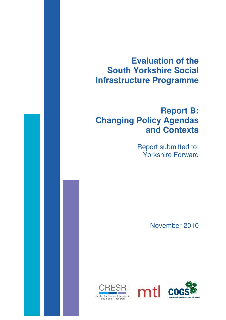# **Evaluation of the South Yorkshire Social Infrastructure Programme**

# **Report B: Changing Policy Agendas and Contexts**

Report submitted to: Yorkshire Forward

November 2010



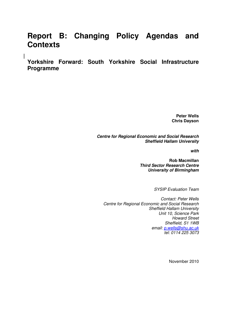# **Report B: Changing Policy Agendas and Contexts**

**Yorkshire Forward: South Yorkshire Social Infrastructure Programme** 

 $\overline{\phantom{a}}$ 

**Peter Wells Chris Dayson** 

**Centre for Regional Economic and Social Research Sheffield Hallam University** 

**with** 

**Rob Macmillan Third Sector Research Centre University of Birmingham** 

SYSIP Evaluation Team

Contact: Peter Wells Centre for Regional Economic and Social Research Sheffield Hallam University Unit 10, Science Park Howard Street Sheffield, S1 1WB email: p.wells@shu.ac.uk tel: 0114 225 3073

November 2010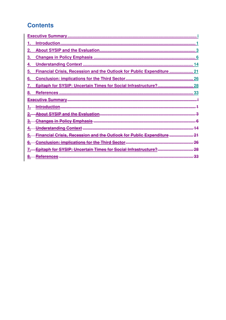# **Contents**

| 2. |                                                                        |
|----|------------------------------------------------------------------------|
| З. |                                                                        |
| 4. |                                                                        |
| 5. | Financial Crisis, Recession and the Outlook for Public Expenditure  21 |
| 6. |                                                                        |
| 7. | Epitaph for SYSIP: Uncertain Times for Social Infrastructure? 28       |
| 8. |                                                                        |
|    |                                                                        |
|    |                                                                        |
|    |                                                                        |
|    |                                                                        |
|    |                                                                        |
|    |                                                                        |
|    | Financial Crisis, Recession and the Outlook for Public Expenditure     |
|    | 26                                                                     |
|    | <b>Epitaph for SYSIP: Uncertain Times for Social Infrastructure?</b>   |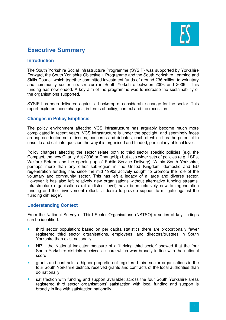

# **Executive Summary**

# **Introduction**

The South Yorkshire Social Infrastructure Programme (SYSIP) was supported by Yorkshire Forward, the South Yorkshire Objective 1 Programme and the South Yorkshire Learning and Skills Council which together committed investment funds of around £36 million to voluntary and community sector infrastructure in South Yorkshire between 2006 and 2009. This funding has now ended. A key aim of the programme was to increase the sustainability of the organisations supported.

SYSIP has been delivered against a backdrop of considerable change for the sector. This report explores these changes, in terms of policy, context and the recession.

# **Changes in Policy Emphasis**

The policy environment affecting VCS infrastructure has arguably become much more complicated in recent years. VCS infrastructure is under the spotlight, and seemingly faces an unprecedented set of issues, concerns and debates, each of which has the potential to unsettle and call into question the way it is organised and funded, particularly at local level.

Policy changes affecting the sector relate both to third sector specific policies (e.g. the Compact, the new Charity Act 2006 or ChangeUp) but also wider sets of policies (e.g. LSPs, Welfare Reform and the opening up of Public Service Delivery). Within South Yorkshire, perhaps more than any other sub-region in the United Kingdom, domestic and EU regeneration funding has since the mid 1990s actively sought to promote the role of the voluntary and community sector. This has left a legacy of a large and diverse sector. However it has also left relatively new organisations without alternative funding streams. Infrastructure organisations (at a district level) have been relatively new to regeneration funding and their involvement reflects a desire to provide support to mitigate against the 'funding cliff edge'.

# **Understanding Context**

From the National Survey of Third Sector Organisatons (NSTSO) a series of key findings can be identified:

- **third sector population: based on per capita statistics there are proportionally fewer** registered third sector organisations, employees, and directors/trustees in South Yorkshire than exist nationally
- **NI7** the National Indicator measure of a 'thriving third sector' showed that the four South Yorkshire districts received a score which was broadly in line with the national score
- grants and contracts: a higher proportion of registered third sector organisations in the four South Yorkshire districts received grants and contracts of the local authorities than do nationally
- satisfaction with funding and support available: across the four South Yorkshire areas registered third sector organisations' satisfaction with local funding and support is broadly in line with satisfaction nationally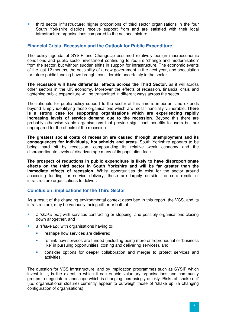third sector infrastructure: higher proportions of third sector organisations in the four South Yorkshire districts receive support from and are satisfied with their local infrastructure organisations compared to the national picture.

# **Financial Crisis, Recession and the Outlook for Public Expenditure**

The policy agenda of SYSIP and ChangeUp assumed relatively benign macroeconomic conditions and public sector investment continuing to require 'change and modernisation' from the sector, but without sudden shifts in support for infrastructure. The economic events of the last 12 months, the possibility of a new government in the next year, and speculation for future public funding have brought considerable uncertainty in the sector.

**The recession will have differential effects across the Third Sector**, as it will across other sectors in the UK economy. Moreover the effects of recession, financial crisis and tightening public expenditure will be transmitted in different ways across the sector.

The rationale for public policy support to the sector at this time is important and extends beyond simply identifying those organisations which are most financially vulnerable. **There is a strong case for supporting organisations which are experiencing rapidly increasing levels of service demand due to the recession**. Beyond this there are probably otherwise viable organisations that provide significant benefits to users but are unprepared for the effects of the recession.

**The greatest social costs of recession are caused through unemployment and its consequences for individuals, households and areas**. South Yorkshire appears to be being hard hit by recession, compounding its relative weak economy and the disproportionate levels of disadvantage many of its population face.

**The prospect of reductions in public expenditure is likely to have disproportionate effects on the third sector in South Yorkshire and will be far greater than the immediate effects of recession.** Whilst opportunities do exist for the sector around accessing funding for service delivery, these are largely outside the core remits of infrastructure organisations to deliver.

# **Conclusion: implications for the Third Sector**

As a result of the changing environmental context described in this report, the VCS, and its infrastructure, may be variously facing either or both of:

- **a** a 'shake out', with services contracting or stopping, and possibly organisations closing down altogether, and
- a 'shake up', with organisations having to:
	- **F** reshape how services are delivered
	- rethink how services are funded (including being more entrepreneurial or 'business like' in pursuing opportunities, costing and delivering services), and
	- consider options for deeper collaboration and merger to protect services and activities.

The question for VCS infrastructure, and by implication programmes such as SYSIP which invest in it, is the extent to which it can enable voluntary organisations and community groups to negotiate a landscape which is changing increasingly quickly. Risks of 'shake out' (i.e. organisational closure) currently appear to outweigh those of 'shake up' (a changing configuration of organisations).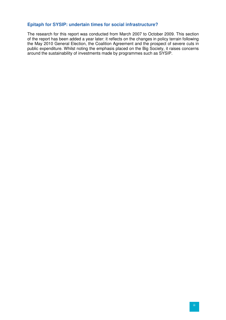# **Epitaph for SYSIP: undertain times for social infrastructure?**

The research for this report was conducted from March 2007 to October 2009. This section of the report has been added a year later: it reflects on the changes in policy terrain following the May 2010 General Election, the Coalition Agreement and the prospect of severe cuts in public expenditure. Whilst noting the emphasis placed on the Big Society, it raises concerns around the sustainability of investments made by programmes such as SYSIP.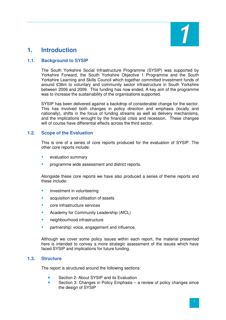

# **1. Introduction**

# **1.1. Background to SYSIP**

The South Yorkshire Social Infrastructure Programme (SYSIP) was supported by Yorkshire Forward, the South Yorkshire Objective 1 Programme and the South Yorkshire Learning and Skills Council which together committed investment funds of around £36m to voluntary and community sector infrastructure in South Yorkshire between 2006 and 2009. This funding has now ended. A key aim of the programme was to increase the sustainability of the organisations supported.

SYSIP has been delivered against a backdrop of considerable change for the sector. This has involved both changes in policy direction and emphasis (locally and nationally), shifts in the focus of funding streams as well as delivery mechanisms, and the implications wrought by the financial crisis and recession. These changes will of course have differential effects across the third sector.

# **1.2. Scope of the Evaluation**

This is one of a series of core reports produced for the evaluation of SYSIP. The other core reports include:

- evaluation summary
- programme wide assessment and district reports.

Alongside these core reports we have also produced a series of theme reports and these include:

- **EXECUTE:** investment in volunteering
- acquisition and utilisation of assets
- core infrastructure services
- Academy for Community Leadership (AfCL)
- neighbourhood infrastructure
- partnership: voice, engagement and influence.

Although we cover some policy issues within each report, the material presented here is intended to convey a more strategic assessment of the issues which have faced SYSIP and implications for future funding.

#### **1.3. Structure**

The report is structured around the following sections:

- Section 2: About SYSIP and its Evaluation
- Section 3: Changes in Policy Emphasis a review of policy changes since the design of SYSIP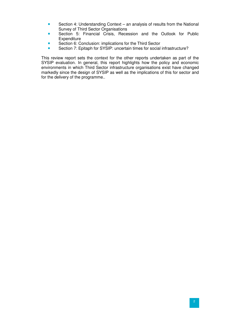- Section 4: Understanding Context an analysis of results from the National Survey of Third Sector Organisations
- **Section 5: Financial Crisis, Recession and the Outlook for Public Expenditure**
- Section 6: Conclusion: implications for the Third Sector
- Section 7: Epitaph for SYSIP: uncertain times for social infrastructure?

This review report sets the context for the other reports undertaken as part of the SYSIP evaluation. In general, this report highlights how the policy and economic environments in which Third Sector infrastructure organisations exist have changed markedly since the design of SYSIP as well as the implications of this for sector and for the delivery of the programme..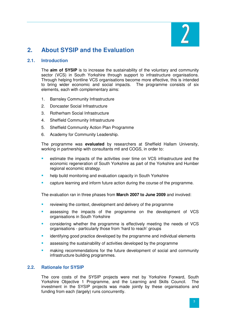

# **2. About SYSIP and the Evaluation**

# **2.1. Introduction**

The **aim of SYSIP** is to increase the sustainability of the voluntary and community sector (VCS) in South Yorkshire through support to infrastructure organisations. Through helping frontline VCS organisations become more effective, this is intended to bring wider economic and social impacts. The programme consists of six elements, each with complementary aims:

- 1. Barnsley Community Infrastructure
- 2. Doncaster Social Infrastructure
- 3. Rotherham Social Infrastructure
- 4. Sheffield Community Infrastructure
- 5. Sheffield Community Action Plan Programme
- 6. Academy for Community Leadership.

The programme was **evaluated** by researchers at Sheffield Hallam University, working in partnership with consultants mtl and COGS, in order to:

- estimate the impacts of the activities over time on VCS infrastructure and the economic regeneration of South Yorkshire as part of the Yorkshire and Humber regional economic strategy.
- help build monitoring and evaluation capacity in South Yorkshire
- capture learning and inform future action during the course of the programme.

The evaluation ran in three phases from **March 2007 to June 2009** and involved:

- reviewing the context, development and delivery of the programme
- assessing the impacts of the programme on the development of VCS organisations in South Yorkshire
- considering whether the programme is effectively meeting the needs of VCS organisations - particularly those from 'hard to reach' groups
- identifying good practice developed by the programme and individual elements
- assessing the sustainability of activities developed by the programme
- making recommendations for the future development of social and community infrastructure building programmes.

#### **2.2. Rationale for SYSIP**

The core costs of the SYSIP projects were met by Yorkshire Forward, South Yorkshire Objective 1 Programme, and the Learning and Skills Council. The investment in the SYSIP projects was made jointly by these organisations and funding from each (largely) runs concurrently.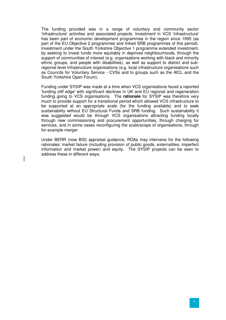The funding provided was in a range of voluntary and community sector 'infrastructure' activities and associated projects. Investment in VCS 'infrastructure' has been part of economic development programmes in the region since 1995 (as part of the EU Objective 2 programmes and linked SRB programmes of this period). Investment under the South Yorkshire Objective 1 programme extended investment, by seeking to invest funds more equitably in deprived neighbourhoods, through the support of communities of interest (e.g. organisations working with black and minority ethnic groups, and people with disabilities), as well as support to district and subregional level infrastructure organisations (e.g. local infrastructure organisations such as Councils for Voluntary Service - CVSs and to groups such as the AfCL and the South Yorkshire Open Forum).

Funding under SYSIP was made at a time when VCS organisations faced a reported 'funding cliff edge' with significant declines in UK and EU regional and regeneration funding going to VCS organisations. The **rationale** for SYSIP was therefore very much to provide support for a transitional period which allowed VCS infrastructure to be supported at an appropriate scale (for the funding available) and to seek sustainability without EU Structural Funds and SRB funding. Such sustainability it was suggested would be through VCS organisations attracting funding locally through new commissioning and procurement opportunities, through charging for services, and in some cases reconfiguring the scale/scope of organisations, through for example merger.

Under BERR (now BIS) appraisal guidance, RDAs may intervene for the following rationales: market failure (including provision of public goods, externalities, imperfect information and market power) and equity. The SYSIP projects can be seen to address these in different ways: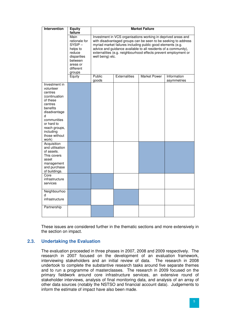| <b>Intervention</b>                                                                                                                                                                                 | <b>Market Failure</b><br><b>Equity</b>                                                                                           |                                                                                                                                                                                                                                                                                                                                                          |               |                     |                            |  |  |
|-----------------------------------------------------------------------------------------------------------------------------------------------------------------------------------------------------|----------------------------------------------------------------------------------------------------------------------------------|----------------------------------------------------------------------------------------------------------------------------------------------------------------------------------------------------------------------------------------------------------------------------------------------------------------------------------------------------------|---------------|---------------------|----------------------------|--|--|
|                                                                                                                                                                                                     | failure<br>Main<br>rationale for<br>$SYSIP -$<br>helps to<br>reduce<br>disparities<br>between<br>areas or<br>different<br>groups | Investment in VCS organisations working in deprived areas and<br>with disadvantaged groups can be seen to be seeking to address<br>myriad market failures including public good elements (e.g.<br>advice and guidance available to all residents of a community),<br>externalities (e.g. neighbourhood effects prevent employment or<br>well being) etc. |               |                     |                            |  |  |
|                                                                                                                                                                                                     | Equity                                                                                                                           | Public<br>goods                                                                                                                                                                                                                                                                                                                                          | Externalities | <b>Market Power</b> | Information<br>asymmetries |  |  |
| Investment in<br>volunteer<br>centres<br>(continuation<br>of these<br>centres<br>benefits<br>disadvantage<br>d<br>communities<br>or hard to<br>reach groups,<br>including<br>those without<br>work) |                                                                                                                                  |                                                                                                                                                                                                                                                                                                                                                          |               |                     |                            |  |  |
| Acquisition<br>and utilisation<br>of assets.<br>This covers<br>asset<br>management<br>and purchase<br>of buildings.                                                                                 |                                                                                                                                  |                                                                                                                                                                                                                                                                                                                                                          |               |                     |                            |  |  |
| Core<br>infrastructure<br>services                                                                                                                                                                  |                                                                                                                                  |                                                                                                                                                                                                                                                                                                                                                          |               |                     |                            |  |  |
| Neighbourhoo<br>d<br>infrastructure                                                                                                                                                                 |                                                                                                                                  |                                                                                                                                                                                                                                                                                                                                                          |               |                     |                            |  |  |
| Partnership                                                                                                                                                                                         |                                                                                                                                  |                                                                                                                                                                                                                                                                                                                                                          |               |                     |                            |  |  |

These issues are considered further in the thematic sections and more extensively in the section on impact.

# **2.3. Undertaking the Evaluation**

The evaluation proceeded in three phases in 2007, 2008 and 2009 respectively. The research in 2007 focused on the development of an evaluation framework, interviewing stakeholders and an initial review of data. The research in 2008 undertook to complete the substantive research tasks around five separate themes and to run a programme of masterclasses. The research in 2009 focused on the primary fieldwork around core infrastructure services, an extensive round of stakeholder interviews, analysis of final monitoring data, and analysis of an array of other data sources (notably the NSTSO and financial account data). Judgements to inform the estimate of impact have also been made.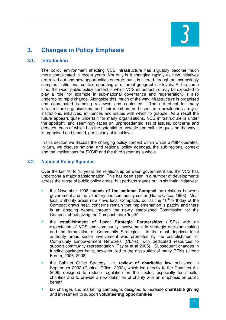

# **3. Changes in Policy Emphasis**

### **3.1. Introduction**

The policy environment affecting VCS infrastructure has arguably become much more complicated in recent years. Not only is it changing rapidly as new initiatives are rolled out and new opportunities emerge, but it is filtered through an increasingly complex institutional context operating at different geographical levels. At the same time, the wider public policy context in which VCS infrastructure may be expected to play a role, for example in sub-national governance and regeneration, is also undergoing rapid change. Alongside this, much of the way infrastructure is organised and coordinated is being reviewed and contested. The net effect for many infrastructure organisations, and their members and users, is a bewildering array of institutions, initiatives, influences and issues with which to grapple. As a result the future appears quite uncertain for many organisations. VCS infrastructure is under the spotlight, and seemingly faces an unprecedented set of issues, concerns and debates, each of which has the potential to unsettle and call into question the way it is organised and funded, particularly at local level.

In this section we discuss the changing policy context within which SYSIP operates. In turn, we discuss national and regional policy agendas, the sub-regional context and the implications for SYSIP and the third sector as a whole.

# **3.2. National Policy Agendas**

Over the last 10 to 15 years the relationship between government and the VCS has undergone a major transformation. This has been seen in a number of developments across the range of public policy areas, but perhaps stands out in six main initiatives:

- the November 1998 **launch of the national Compact** on relations between government and the voluntary and community sector (Home Office, 1998). Most local authority areas now have local Compacts, but as the  $10<sup>th</sup>$  birthday of the Compact draws near, concerns remain that implementation is patchy and there is an ongoing debate through the newly established Commission for the Compact about giving the Compact more 'teeth'
- the **establishment of Local Strategic Partnerships** (LSPs) with an expectation of VCS and community involvement in strategic decision making and the formulation of Community Strategies. In the most deprived local authority areas sector involvement was promoted by the establishment of Community Empowerment Networks (CENs), with dedicated resources to support community representation (Taylor et al 2005). Subsequent changes in funding packages have, however, led to the dissolution of many CENs (Urban Forum, 2006, 2008)
- the Cabinet Office Strategy Unit **review of charitable law** published in September 2002 (Cabinet Office, 2002), which led directly to the Charities Act 2006, designed to reduce regulation on the sector, especially for smaller charities and to provide a new definition of charity with an emphasis on public benefit
- tax changes and marketing campaigns designed to increase **charitable giving** and investment to support **volunteering opportunities**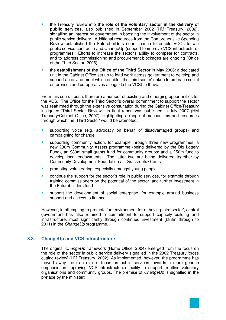- the Treasury review into **the role of the voluntary sector in the delivery of public services**, also published in September 2002 (HM Treasury, 2002), signalling an interest by government in boosting the involvement of the sector in public service delivery. Additional resources from the Comprehensive Spending Review established the Futurebuilders (loan finance to enable VCOs to win public service contracts) and ChangeUp (support to improve VCS infrastructure) programmes. Efforts to increase the sector's ability to compete for contracts, and to address commissioning and procurement blockages are ongoing (Office of the Third Sector, 2006)
- the **establishment of the Office of the Third Sector** in May 2006: a dedicated unit in the Cabinet Office set up to lead work across government to develop and support an environment which enables the 'third sector' (taken to embrace social enterprises and co-operatives alongside the VCS) to thrive.

From this central push, there are a number of existing and emerging opportunities for the VCS. The Office for the Third Sector's overall commitment to support the sector was reaffirmed through the extensive consultation during the Cabinet Office/Treasury instigated 'Third Sector Review'; its final report was published in July 2007 (HM Treasury/Cabinet Office, 2007), highlighting a range of mechanisms and resources through which the 'Third Sector' would be promoted:

- supporting voice (e.g. advocacy on behalf of disadvantaged groups) and campaigning for change
- supporting community action, for example through three new programmes: a new £30m Community Assets programme (being delivered by the Big Lottery Fund), an £80m small grants fund for community groups; and a £50m fund to develop local endowments. The latter two are being delivered together by Community Development Foundation as 'Grassroots Grants'
- promoting volunteering, especially amongst young people
- continue the support for the sector's role in public services, for example through training commissioners on the potential of the sector, and further investment in the Futurebuilders fund
- support the development of social enterprise, for example around business support and access to finance.

However, in attempting to promote 'an environment for a thriving third sector', central government has also retained a commitment to support capacity building and infrastructure, most significantly through continued investment (£88m through to 2011) in the *ChangeUp* programme.

# **3.3. ChangeUp and VCS infrastructure**

The original *ChangeUp* framework (Home Office, 2004) emerged from the focus on the role of the sector in public service delivery signalled in the 2002 Treasury 'cross cutting review' (HM Treasury, 2002). As implemented, however, the programme has moved away from an explicit focus on public services towards a more generic emphasis on improving VCS infrastructure's ability to support frontline voluntary organisations and community groups. The premise of ChangeUp is signalled in the preface by the minister: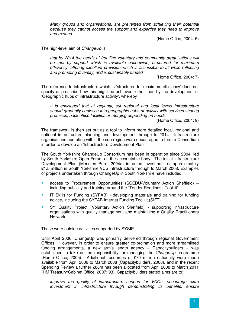Many groups and organisations, are prevented from achieving their potential because they cannot access the support and expertise they need to improve and expand

(Home Office, 2004: 5)

The high-level aim of *ChangeUp* is:

that by 2014 the needs of frontline voluntary and community organisations will be met by support which is available nationwide, structured for maximum efficiency, offering excellent provision which is accessible to all while reflecting and promoting diversity, and is sustainably funded

(Home Office, 2004: 7)

The reference to infrastructure which is 'structured for maximum efficiency' does not specify or prescribe how this might be achieved, other than by the development of 'Geographic hubs of infrastructure activity', whereby

It is envisaged that at regional, sub-regional and local levels infrastructure should gradually coalesce into geographic hubs of activity with services sharing premises, back office facilities or merging depending on needs.

(Home Office, 2004: 9)

The framework is then set out as a tool to inform more detailed local, regional and national infrastructure planning and development through to 2014. Infrastructure organisations operating within the sub-region were encouraged to form a Consortium in order to develop an 'Infrastructure Development Plan'.

The South Yorkshire ChangeUp Consortium has been in operation since 2004, led by South Yorkshire Open Forum as the accountable body. The initial Infrastructure Development Plan (Meridien Pure, 2004a) informed investment of approximately £1.5 million in South Yorkshire VCS infrastructure through to March 2008. Examples of projects undertaken through ChangeUp in South Yorkshire have included:

- access to Procurement Opportunities (SCEDU/Voluntary Action Sheffield) including publicity and training around the "Tender Readiness Toolkit"
- IT Skills for Funding (SYFAB) developing materials and training for funding advice, including the SYFAB Internet Funding Toolkit (SIFT)
- SY Quality Project (Voluntary Action Sheffield) supporting infrastructure organisations with quality management and maintaining a Quality Practitioners Network.

These were outside activities supported by SYSIP.

Until April 2006, ChangeUp was primarily delivered through regional Government Offices. However, in order to ensure greater co-ordination and more streamlined funding arrangements, a new arm's length agency – Capacitybuilders – was established to take on the responsibility for managing the *ChangeUp* programme (Home Office, 2005). Additional resources of £70 million nationally were made available from April 2006 to March 2008 (Capacitybuilders, 2006), and in the recent Spending Review a further £88m has been allocated from April 2008 to March 2011 (HM Treasury/Cabinet Office, 2007: 93). Capacitybuilders stated aims are to:

improve the quality of infrastructure support for VCOs; encourage extra investment in infrastructure through demonstrating its benefits; ensure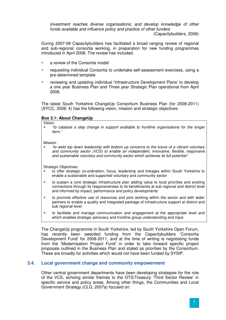investment reaches diverse organisations; and develop knowledge of other funds available and influence policy and practice of other funders

(Capacitybuilders, 2006)

During 2007-08 Capacitybuilders has facilitated a broad ranging review of regional and sub-regional consortia working, in preparation for new funding programmes introduced in April 2008. The review has included:

- a review of the Consortia model
- requesting individual Consortia to undertake self-assessment exercises, using a pre-determined template
- reviewing and updating individual 'Infrastructure Development Plans' to develop a one year Business Plan and Three year Strategic Plan operational from April 2008.

The latest South Yorkshire ChangeUp Consortium Business Plan (for 2008-2011) (SYCC, 2008: 4) has the following vision, mission and strategic objectives:

### **Box 3.1: About ChangeUp**

Vision:

 "to catalyse a step change in support available to frontline organisations for the longer term."

#### Mission

 "to weld top down leadership with bottom up concerns to the future of a vibrant voluntary and community sector (VCS) to enable an independent, innovative, flexible, responsive and sustainable voluntary and community sector which achieves its full potential".

Strategic Objectives:

- to offer strategic co-ordination, focus, leadership and linkages within South Yorkshire to enable a sustainable and supported voluntary and community sector
- to sustain a core strategic infrastructure plan adding value to local priorities and existing connections through its responsiveness to its beneficiaries at sub regional and district level and informed by impact, performance and policy developments
- to promote effective use of resources and joint working within the sector and with wider partners to enable a quality and integrated package of infrastructure support at district and sub regional level
- to facilitate and manage communication and engagement at the appropriate level and which enables strategic advocacy and frontline group understanding and input.

The ChangeUp programme in South Yorkshire, led by South Yorkshire Open Forum, has recently been awarded funding from the Capacitybuilders 'Consortia Development Fund' for 2008-2011, and at the time of writing is negotiating funds from the 'Modernisation Project Fund' in order to take forward specific project proposals outlined in the Business Plan and stated as priorities by the Consortium. These are broadly for activities which would not have been funded by SYSIP.

# **3.4. Local government change and community empowerment**

Other central government departments have been developing strategies for the role of the VCS, echoing similar themes to the OTS/Treasury 'Third Sector Review' in specific service and policy areas. Among other things, the Communities and Local Government Strategy (CLG, 2007a) focused on: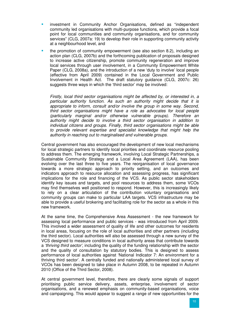- investment in Community Anchor Organisations, defined as "independent community led organisations with multi-purpose functions, which provide a focal point for local communities and community organisations, and for community services" (CLG, 2007a: 19) to develop their role in supporting community activity at a neighbourhood level, and
- the promotion of community empowerment (see also section 8.2), including an action plan (CLG, 2007b) and the forthcoming publication of proposals designed to increase active citizenship, promote community regeneration and improve local services through user involvement, in a Community Empowerment White Paper (CLG, 2008a), and the introduction of a new 'duty to involve' local people (effective from April 2009) contained in the Local Government and Public Involvement in Health Act. The draft statutory guidance (CLG, 2007c: 26) suggests three ways in which the 'third sector' may be involved:

Firstly, local third sector organisations might be affected by, or interested in, a particular authority function. As such an authority might decide that it is appropriate to inform, consult and/or involve the group in some way. Second, third sector organisations might have a role as advocates for local people (particularly marginal and/or otherwise vulnerable groups). Therefore an authority might decide to involve a third sector organisation in addition to individual citizens and groups. Finally, third sector organisations might be able to provide relevant expertise and specialist knowledge that might help the authority in reaching out to marginalised and vulnerable groups.

Central government has also encouraged the development of new local mechanisms for local strategic partners to identify local priorities and coordinate resource pooling to address them. The emerging framework, involving Local Strategic Partnerships, a Sustainable Community Strategy and a Local Area Agreement (LAA), has been evolving over the last three to five years. The reorganisation of local governance towards a more strategic approach to priority setting, and an outcomes and indicators approach to resource allocation and assessing progress, has significant implications for the role and financing of the VCS. As public sector stakeholders identify key issues and targets, and pool resources to address them, some VCOs may find themselves well positioned to respond. However, this is increasingly likely to rely on a clear articulation of the contribution voluntary organisations and community groups can make to particular LAA targets. VCS infrastructure may be able to provide a useful brokering and facilitating role for the sector as a whole in this new framework.

At the same time, the Comprehensive Area Assessment - the new framework for assessing local performance and public services - was introduced from April 2009. This involved a wider assessment of quality of life and other outcomes for residents in local areas, focusing on the role of local authorities and other partners (including the third sector). Local authorities will also be assessed through a new survey of the VCS designed to measure conditions in local authority areas that contribute towards a 'thriving third sector', including the quality of the funding relationship with the sector and the quality of consultation by statutory bodies. This is designed to assess performance of local authorities against 'National Indicator 7: An environment for a thriving third sector'. A centrally funded and nationally administered local survey of VCOs has been designed to take place in Autumn 2008, to be repeated in Autumn 2010 (Office of the Third Sector, 2008).

At central government level, therefore, there are clearly some signals of support prioritising public service delivery, assets, enterprise, involvement of sector organisations, and a renewed emphasis on community-based organisations, voice and campaigning. This would appear to suggest a range of new opportunities for the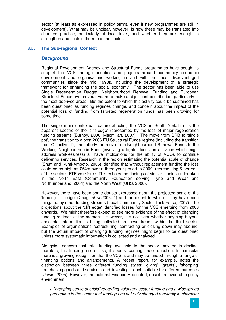sector (at least as expressed in policy terms, even if new programmes are still in development). What may be unclear, however, is how these may be translated into changed practice, particularly at local level, and whether they are enough to strengthen and sustain the role of the sector.

### **3.5. The Sub-regional Context**

#### **Background**

Regional Development Agency and Structural Funds programmes have sought to support the VCS through priorities and projects around community economic development and organisations working in and with the most disadvantaged communities since the mid 1990s, including the development of a strategic framework for enhancing the social economy. The sector has been able to use Single Regeneration Budget, Neighbourhood Renewal Funding and European Structural Funds over several years to make a significant contribution, particularly in the most deprived areas. But the extent to which this activity could be sustained has been questioned as funding regimes change, and concern about the impact of the potential loss of funding from targeted regeneration funds has been growing for some time.

The single main contextual feature affecting the VCS in South Yorkshire is the apparent spectre of the 'cliff edge' represented by the loss of major regeneration funding streams (Burnby, 2006, Macmillan, 2007). The move from SRB to 'single pot', the transition to a post 2006 EU Structural Funds regime (including the transition from Objective 1), and latterly the move from Neighbourhood Renewal Funds to the Working Neighbourhoods Fund (involving a tighter focus on activities which might address worklessness) all have implications for the ability of VCOs to continue delivering services. Research in the region estimating the potential scale of change (Shutt and Kumi-Ampofo, 2005) identified that without replacement funding the loss could be as high as £54m over a three year period to 2009, representing 5 per cent of the sector's FTE workforce. This echoes the findings of similar studies undertaken in the North East (Community Foundation serving Tyne and Wear and Northumberland, 2004) and the North West (URS, 2006).

However, there have been some doubts expressed about the projected scale of the 'funding cliff edge' (Craig, et al 2005: 4) and the extent to which it may have been mitigated by other funding streams (Local Community Sector Task Force, 2007). The projections about the 'cliff edge' identified losses for the VCS emerging from 2006 onwards. We might therefore expect to see more evidence of the effect of changing funding regimes at the moment. However, it is not clear whether anything beyond anecdotal information is being collected on these trends within the third sector. Examples of organisations restructuring, contracting or closing down may abound, but the actual impact of changing funding regimes might begin to be questioned unless more systematic information is collected and analysed.

Alongside concern that total funding available to the sector may be in decline, therefore, the funding mix is also, it seems, coming under question. In particular there is a growing recognition that the VCS is and may be funded through a range of financing options and arrangements. A recent report, for example, notes the distinction between three different funding styles: 'giving' (grants), 'shopping' (purchasing goods and services) and 'investing' - each suitable for different purposes (Unwin, 2005). However, the national Finance Hub noted, despite a favourable policy environment:

a "creeping sense of crisis" regarding voluntary sector funding and a widespread perception in the sector that funding has not only changed markedly in character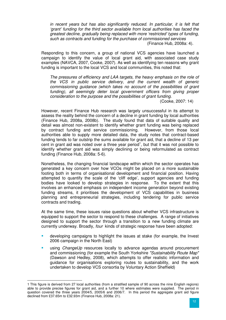in recent years but has also significantly reduced. In particular, it is felt that 'grant' funding for the third sector available from local authorities has faced the greatest decline, gradually being replaced with more 'restricted' types of funding, such as contracts and funding for the purchase of commissioned services (Finance Hub, 2008a: 4).

Responding to this concern, a group of national VCS agencies have launched a campaign to identify the value of local grant aid, with associated case study examples (NAVCA, 2007, Cooke, 2007). As well as identifying ten reasons why grant funding is important to the local VCS and local communities, this noted that:

The pressures of efficiency and LAA targets, the heavy emphasis on the role of the VCS in public service delivery, and the current wealth of generic commissioning guidance (which takes no account of the possibilities of grant funding), all seemingly deter local government officers from giving proper consideration to the purpose and the possibilities of grant funding.

(Cooke, 2007: 14)

However, recent Finance Hub research was largely unsuccessful in its attempt to assess the reality behind the concern of a decline in grant funding by local authorities (Finance Hub, 2008a, 2008b). The study found that data of suitable quality and detail was almost non-existent to identify whether grant funding was being replaced by contract funding and service commissioning. However, from those local authorities able to supply more detailed data, the study notes that contract-based funding tends to far outstrip the sums available for grant aid, that a decline of 13 per cent in grant aid was noted over a three year period<sup>1</sup>, but that it was not possible to identify whether grant aid was simply declining or being reformulated as contract funding (Finance Hub, 2008a: 5-6).

Nonetheless, the changing financial landscape within which the sector operates has generated a key concern over how VCOs might be placed on a more sustainable footing both in terms of organisational development and financial position. Having attempted to quantify the scale of the 'cliff edge', support agencies and funding bodies have looked to develop strategies in response. To the extent that this involves an enhanced emphasis on independent income generation beyond existing funding streams, it prioritises the development of VCS capabilities in business planning and entrepreneurial strategies, including tendering for public service contracts and trading.

At the same time, these issues raise questions about whether VCS infrastructure is equipped to support the sector to respond to these challenges. A range of initiatives designed to support the sector through a transition to a new funding climate are currently underway. Broadly, four kinds of strategic response have been adopted:

- developing campaigns to highlight the issues at stake (for example, the Invest 2006 campaign in the North East)
- using ChangeUp resources locally to advance agendas around procurement and commissioning (for example the South Yorkshire "Sustainability Route Map" (Dawson and Hedley, 2008), which attempts to offer realistic information and guidance for organisations exploring routes to sustainability, and the work undertaken to develop VCS consortia by Voluntary Action Sheffield)

 $\overline{a}$ 1 This figure is derived from 27 local authorities (from a stratified sample of 90 across the nine English regions) able to provide precise figures for grant aid, and a further 10 where estimates were supplied. The period in question covered the three years 2004/5, 2005/6 and 2006/7. In this period the aggregate grant aid figure declined from £37.65m to £32.93m (Finance Hub, 2008a: 21).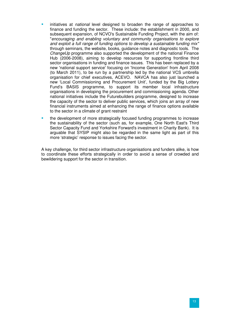- initiatives at national level designed to broaden the range of approaches to finance and funding the sector. These include: the establishment in 2000, and subsequent expansion, of NCVO's Sustainable Funding Project, with the aim of: "encouraging and enabling voluntary and community organisations to explore and exploit a full range of funding options to develop a sustainable funding mix" through seminars, the website, books, guidance notes and diagnostic tools. The ChangeUp programme also supported the development of the national Finance Hub (2006-2008), aiming to develop resources for supporting frontline third sector organisations in funding and finance issues. This has been replaced by a new 'national support service' focusing on 'Income Generation' from April 2008 (to March 2011), to be run by a partnership led by the national VCS umbrella organisation for chief executives, ACEVO. NAVCA has also just launched a new 'Local Commissioning and Procurement Unit', funded by the Big Lottery Fund's BASIS programme, to support its member local infrastructure organisations in developing the procurement and commissioning agenda. Other national initiatives include the Futurebuilders programme, designed to increase the capacity of the sector to deliver public services, which joins an array of new financial instruments aimed at enhancing the range of finance options available to the sector in a climate of grant restraint
- the development of more strategically focused funding programmes to increase the sustainability of the sector (such as, for example, One North East's Third Sector Capacity Fund and Yorkshire Forward's investment in Charity Bank). It is arguable that SYSIP might also be regarded in the same light as part of this more 'strategic' response to issues facing the sector.

A key challenge, for third sector infrastructure organisations and funders alike, is how to coordinate these efforts strategically in order to avoid a sense of crowded and bewildering support for the sector in transition.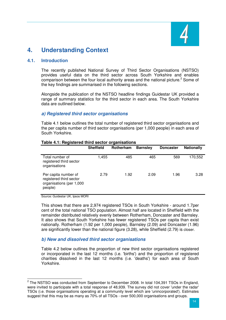

# **4. Understanding Context**

# **4.1. Introduction**

The recently published National Survey of Third Sector Organisations (NSTSO) provides useful data on the third sector across South Yorkshire and enables comparison between the four local authority areas and the national picture.<sup>2</sup> Some of the key findings are summarised in the following sections.

Alongside the publication of the NSTSO headline findings Guidestar UK provided a range of summary statistics for the third sector in each area. The South Yorkshire data are outlined below.

### **a) Registered third sector organisations**

Table 4.1 below outlines the total number of registered third sector organisations and the per capita number of third sector organisations (per 1,000 people) in each area of South Yorkshire.

|                                                                                        | <b>Sheffield</b> | Rotherham | <b>Barnsley</b> | <b>Doncaster</b> | <b>Nationally</b> |
|----------------------------------------------------------------------------------------|------------------|-----------|-----------------|------------------|-------------------|
| Total number of<br>registered third sector<br>organisations                            | 1,455            | 485       | 465             | 569              | 170,552           |
| Per capita number of<br>registered third sector<br>organisations (per 1,000<br>people) | 2.79             | 1.92      | 2.09            | 1.96             | 3.28              |

#### **Table 4.1: Registered third sector organisations**

Source: Guidestar UK, Ipsos MORI

This shows that there are 2,974 registered TSOs in South Yorkshire - around 1.7per cent of the total national TSO population. Almost half are located in Sheffield with the remainder distributed relatively evenly between Rotherham, Doncaster and Barnsley. It also shows that South Yorkshire has fewer registered TSOs per capita than exist nationally. Rotherham (1.92 per 1,000 people), Barnsley (2.09) and Doncaster (1.96) are significantly lower than the national figure (3.28), while Sheffield (2.79) is closer.

# **b) New and dissolved third sector organisations**

Table 4.2 below outlines the proportion of new third sector organisations registered or incorporated in the last 12 months (i.e. 'births') and the proportion of registered charities dissolved in the last 12 months (i.e. 'deaths') for each area of South Yorkshire.

 2 The NSTSO was conducted from September to December 2008. In total 104,391 TSOs in England, were invited to participate with a total response of 48,939. The survey did not cover 'under the radar' TSOs (i.e. those organisations operating at a community level which are 'unincorporated'). Estimates suggest that this may be as many as 70% of all TSOs - over 500,000 organisations and groups.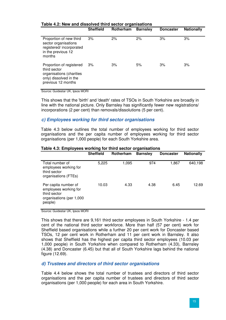|                                                                                                                      | <b>Sheffield</b> | Rotherham | <b>Barnsley</b> | <b>Doncaster</b> | <b>Nationally</b> |
|----------------------------------------------------------------------------------------------------------------------|------------------|-----------|-----------------|------------------|-------------------|
| Proportion of new third<br>sector organisations<br>registered/incorporated<br>in the previous 12<br>months           | 3%               | 2%        | 2%              | 3%               | 3%                |
| Proportion of registered<br>third sector<br>organisations (charities<br>only) dissolved in the<br>previous 12 months | 3%               | 3%        | 5%              | 3%               | 3%                |

#### **Table 4.2: New and dissolved third sector organisations**

Source: Guidestar UK, Ipsos MORI

This shows that the 'birth' and 'death' rates of TSOs in South Yorkshire are broadly in line with the national picture. Only Barnsley has significantly fewer new registrations/ incorporations (2 per cent) than removals/dissolutions (5 per cent).

### **c) Employees working for third sector organisations**

Table 4.3 below outlines the total number of employees working for third sector organisations and the per capita number of employees working for third sector organisations (per 1,000 people) for each South Yorkshire area.

|                                                                                                      | <b>Sheffield</b> | Rotherham | <b>Barnsley</b> | <b>Doncaster</b> | <b>Nationally</b> |
|------------------------------------------------------------------------------------------------------|------------------|-----------|-----------------|------------------|-------------------|
| Total number of<br>employees working for<br>third sector<br>organisations (FTEs)                     | 5,225            | 1,095     | 974             | 1,867            | 640,198           |
| Per capita number of<br>employees working for<br>third sector<br>organisations (per 1,000<br>people) | 10.03            | 4.33      | 4.38            | 6.45             | 12.69             |

#### **Table 4.3: Employees working for third sector organisations**

Source: Guidestar UK, Ipsos MORI

This shows that there are 9,161 third sector employees in South Yorkshire - 1.4 per cent of the national third sector workforce. More than half (57 per cent) work for Sheffield based organisations while a further 20 per cent work for Doncaster based TSOs, 12 per cent work in Rotherham and 11 per cent work in Barnsley. It also shows that Sheffield has the highest per capita third sector employees (10.03 per 1,000 people) in South Yorkshire when compared to Rotherham (4.33), Barnsley (4.38) and Doncaster (6.45) but that all of South Yorkshire lags behind the national figure (12.69).

#### **d) Trustees and directors of third sector organisations**

Table 4.4 below shows the total number of trustees and directors of third sector organisations and the per capita number of trustees and directors of third sector organisations (per 1,000 people) for each area in South Yorkshire.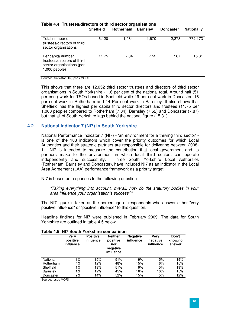|                                                                                                  | <b>Sheffield</b> | Rotherham | <b>Barnsley</b> | <b>Doncaster</b> | <b>Nationally</b> |
|--------------------------------------------------------------------------------------------------|------------------|-----------|-----------------|------------------|-------------------|
| Total number of<br>trustees/directors of third<br>sector organisations                           | 6,120            | 1,984     | 1.670           | 2,278            | 772,173           |
| Per capita number<br>trustees/directors of third<br>sector organisations (per<br>$1,000$ people) | 11.75            | 7.84      | 7.52            | 7.87             | 15.31             |

### **Table 4.4: Trustees/directors of third sector organisations**

Source: Guidestar UK, Ipsos MORI

This shows that there are 12,052 third sector trustees and directors of third sector organisations in South Yorkshire - 1.6 per cent of the national total. Around half (51 per cent) work for TSOs based in Sheffield while 19 per cent work in Doncaster, 16 per cent work in Rotherham and 14 Per cent work in Barnsley. It also shows that Sheffield has the highest per capita third sector directors and trustees (11.75 per 1,000 people) compared to Rotherham (7.84), Barnsley (7.52) and Doncaster (7.87) but that all of South Yorkshire lags behind the national figure (15.31).

### **4.2. National Indicator 7 (NI7) in South Yorkshire**

National Performance Indicator 7 (NI7) - 'an environment for a thriving third sector' is one of the 188 indicators which cover the priority outcomes for which Local Authorities and their strategic partners are responsible for delivering between 2008- 11. NI7 is intended to measure the contribution that local government and its partners make to the environment in which local third sectors can operate independently and successfully. Three South Yorkshire Local Authorities Three South Yorkshire Local Authorities (Rotherham, Barnsley and Doncaster), have included NI7 as an indicator in the Local Area Agreement (LAA) performance framework as a priority target.

NI7 is based on responses to the following question:

"Taking everything into account, overall, how do the statutory bodies in your area influence your organisation's success?"

The NI7 figure is taken as the percentage of respondents who answer either "very positive influence" or "positive influence" to this question.

Headline findings for NI7 were published in February 2009. The data for South Yorkshire are outlined in table 4.5 below.

|                 | Verv<br>positive<br>influence | <b>Positive</b><br>influence | <b>Neither</b><br>positive<br>nor<br>negative<br>influence | <b>Negative</b><br>influence | Verv<br>negative<br>influence | Don't<br>know/no<br>answer |
|-----------------|-------------------------------|------------------------------|------------------------------------------------------------|------------------------------|-------------------------------|----------------------------|
| National        | $1\%$                         | 15%                          | 51%                                                        | 9%                           | 5%                            | 19%                        |
| Rotherham       | 4%                            | 12%                          | 48%                                                        | 15%                          | 6%                            | 15%                        |
| Sheffield       | $1\%$                         | 13%                          | 51%                                                        | 9%                           | 5%                            | 19%                        |
| <b>Barnsley</b> | $1\%$                         | 12%                          | 45%                                                        | 16%                          | 10%                           | 15%                        |
| Doncaster       | 2%                            | 14%                          | 52%                                                        | 15%                          | 5%                            | 12%                        |

# **Table 4.5: NI7 South Yorkshire comparison**

Source: Ipsos MORI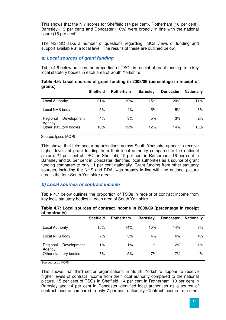This shows that the NI7 scores for Sheffield (14 per cent), Rotherham (16 per cent), Barnsley (13 per cent) and Doncaster (16%) were broadly in line with the national figure (16 per cent).

The NSTSO asks a number of questions regarding TSOs views of funding and support available at a local level. The results of these are outlined below.

# **a) Local sources of grant funding**

Table 4.6 below outlines the proportion of TSOs in receipt of grant funding from key local statutory bodies in each area of South Yorkshire.

| grants)                           |                  |           |                 |                  |                   |
|-----------------------------------|------------------|-----------|-----------------|------------------|-------------------|
|                                   | <b>Sheffield</b> | Rotherham | <b>Barnsley</b> | <b>Doncaster</b> | <b>Nationally</b> |
| <b>Local Authority</b>            | 21%              | 19%       | 15%             | 20%              | 11%               |
| Local NHS body                    | 5%               | 4%        | 5%              | 5%               | 3%                |
| Development<br>Regional<br>Agency | 4%               | 3%        | 5%              | 3%               | 2%                |
| Other statutory bodies            | 10%              | 12%       | 12%             | 14%              | 10%               |

**Table 4.6: Local sources of grant funding in 2008/09 (percentage in receipt of grants)** 

Source: Ipsos MORI

This shows that third sector organisations across South Yorkshire appear to receive higher levels of grant funding from their local authority compared to the national picture. 21 per cent of TSOs in Sheffield, 19 per cent in Rotherham, 16 per cent in Barnsley and 20 per cent in Doncaster identified local authorities as a source of grant funding compared to only 11 per cent nationally. Grant funding from other statutory sources, including the NHS and RDA, was broadly in line with the national picture across the four South Yorkshire areas.

#### **b) Local sources of contract income**

Table 4.7 below outlines the proportion of TSOs in receipt of contract income from key local statutory bodies in each area of South Yorkshire.

| of contracts)                     |                  |           |                 |                  |                   |
|-----------------------------------|------------------|-----------|-----------------|------------------|-------------------|
|                                   | <b>Sheffield</b> | Rotherham | <b>Barnsley</b> | <b>Doncaster</b> | <b>Nationally</b> |
| <b>Local Authority</b>            | 15%              | 14%       | 10%             | 14%              | 7%                |
| Local NHS body                    | 7%               | 3%        | 4%              | 6%               | 4%                |
| Development<br>Regional<br>Agency | $1\%$            | $1\%$     | $1\%$           | 2%               | $1\%$             |
| Other statutory bodies            | 7%               | 5%        | 7%              | 7%               | 4%                |

#### **Table 4.7: Local sources of contract income in 2008/09 (percentage in receipt of contracts)**

Source: Ipsos MORI

This shows that third sector organisations in South Yorkshire appear to receive higher levels of contract income from their local authority compared to the national picture. 15 per cent of TSOs in Sheffield, 14 per cent in Rotherham, 10 per cent in Barnsley and 14 per cent in Doncaster identified local authorities as a source of contract income compared to only 7 per cent nationally. Contract income from other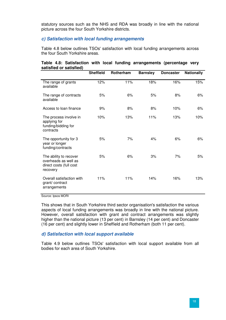statutory sources such as the NHS and RDA was broadly in line with the national picture across the four South Yorkshire districts.

#### **c) Satisfaction with local funding arrangements**

Table 4.8 below outlines TSOs' satisfaction with local funding arrangements across the four South Yorkshire areas.

#### **Table 4.8: Satisfaction with local funding arrangements (percentage very satisfied or satisfied)**

|                                                                                       | <b>Sheffield</b> | Rotherham | <b>Barnsley</b> | <b>Doncaster</b> | <b>Nationally</b> |
|---------------------------------------------------------------------------------------|------------------|-----------|-----------------|------------------|-------------------|
| The range of grants<br>available                                                      | 12%              | 11%       | 18%             | 16%              | 15%               |
| The range of contracts<br>available                                                   | 5%               | 6%        | 5%              | 8%               | 6%                |
| Access to loan finance                                                                | 9%               | 8%        | 8%              | 10%              | 6%                |
| The process involve in<br>applying for<br>funding/bidding for<br>contracts            | 10%              | 13%       | 11%             | 13%              | 10%               |
| The opportunity for 3<br>year or longer<br>funding/contracts                          | 5%               | 7%        | 4%              | 6%               | 6%                |
| The ability to recover<br>overheads as well as<br>direct costs (full cost<br>recovery | 5%               | 6%        | 3%              | 7%               | 5%                |
| Overall satisfaction with<br>grant/contract<br>arrangements                           | 11%              | 11%       | 14%             | 16%              | 13%               |

Source: Ipsos MORI

This shows that in South Yorkshire third sector organisation's satisfaction the various aspects of local funding arrangements was broadly in line with the national picture. However, overall satisfaction with grant and contract arrangements was slightly higher than the national picture (13 per cent) in Barnsley (14 per cent) and Doncaster (16 per cent) and slightly lower in Sheffield and Rotherham (both 11 per cent).

# **d) Satisfaction with local support available**

Table 4.9 below outlines TSOs' satisfaction with local support available from all bodies for each area of South Yorkshire.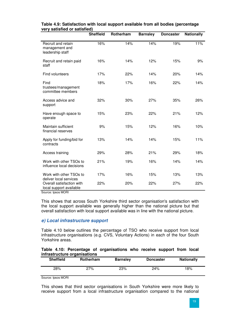|                                                          | <b>Sheffield</b> | Rotherham | <b>Barnsley</b> | <b>Doncaster</b> | <b>Nationally</b> |
|----------------------------------------------------------|------------------|-----------|-----------------|------------------|-------------------|
| Recruit and retain<br>management and<br>leadership staff | 16%              | 14%       | 14%             | 19%              | 11%               |
| Recruit and retain paid<br>staff                         | 16%              | 14%       | 12%             | 15%              | 9%                |
| Find volunteers                                          | 17%              | 22%       | 14%             | 20%              | 14%               |
| Find<br>trustees/management<br>committee members         | 18%              | 17%       | 16%             | 22%              | 14%               |
| Access advice and<br>support                             | 32%              | 30%       | 27%             | 35%              | 26%               |
| Have enough space to<br>operate                          | 15%              | 23%       | 22%             | 21%              | 12%               |
| Maintain sufficient<br>financial reserves                | 9%               | 15%       | 12%             | 16%              | 10%               |
| Apply for funding/bid for<br>contracts                   | 13%              | 14%       | 14%             | 15%              | 11%               |
| Access training                                          | 29%              | 28%       | 21%             | 29%              | 18%               |
| Work with other TSOs to<br>influence local decisions     | 21%              | 19%       | 16%             | 14%              | 14%               |
| Work with other TSOs to<br>deliver local services        | 17%              | 16%       | 15%             | 13%              | 13%               |
| Overall satisfaction with<br>local support available     | 22%              | 20%       | 22%             | 27%              | 22%               |

### **Table 4.9: Satisfaction with local support available from all bodies (percentage very satisfied or satisfied)**

Source: Ipsos MORI

This shows that across South Yorkshire third sector organisation's satisfaction with the local support available was generally higher than the national picture but that overall satisfaction with local support available was in line with the national picture.

# **e) Local infrastructure support**

Table 4.10 below outlines the percentage of TSO who receive support from local infrastructure organisations (e.g. CVS, Voluntary Actions) in each of the four South Yorkshire areas.

#### **Table 4.10: Percentage of organisations who receive support from local infrastructure organisations**

| <b>Sheffield</b> | -<br>Rotherham | <b>Barnsley</b> | <b>Doncaster</b> | <b>Nationally</b> |
|------------------|----------------|-----------------|------------------|-------------------|
| 28%              | 27%            | 23%             | 24%              | 18%               |

Source: Ipsos MORI

This shows that third sector organisations in South Yorkshire were more likely to receive support from a local infrastructure organisation compared to the national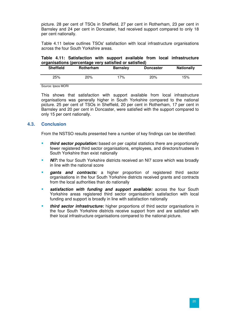picture. 28 per cent of TSOs in Sheffield, 27 per cent in Rotherham, 23 per cent in Barnsley and 24 per cent in Doncaster, had received support compared to only 18 per cent nationally.

Table 4.11 below outlines TSOs' satisfaction with local infrastructure organisations across the four South Yorkshire areas.

#### **Table 4.11: Satisfaction with support available from local infrastructure organisations (percentage very satisfied or satisfied)**

| <b>Sheffield</b> | Rotherham | <b>Barnsley</b> | <b>Doncaster</b> | <b>Nationally</b> |
|------------------|-----------|-----------------|------------------|-------------------|
| 25%              | 20%       | 17%             | 20%              | '5%               |

Source: Ipsos MORI

This shows that satisfaction with support available from local infrastructure organisations was generally higher in South Yorkshire compared to the national picture. 25 per cent of TSOs in Sheffield, 20 per cent in Rotherham, 17 per cent in Barnsley and 20 per cent in Doncaster, were satisfied with the support compared to only 15 per cent nationally.

# **4.3. Conclusion**

From the NSTSO results presented here a number of key findings can be identified:

- **third sector population:** based on per capital statistics there are proportionally fewer registered third sector organisations, employees, and directors/trustees in South Yorkshire than exist nationally
- **NI7:** the four South Yorkshire districts received an NI7 score which was broadly in line with the national score
- **gants and contracts:** a higher proportion of registered third sector organisations in the four South Yorkshire districts received grants and contracts from the local authorities than do nationally
- **satisfaction with funding and support available:** across the four South Yorkshire areas registered third sector organisation's satisfaction with local funding and support is broadly in line with satisfaction nationally
- **third sector infrastructure:** higher proportions of third sector organisations in the four South Yorkshire districts receive support from and are satisfied with their local infrastructure organisations compared to the national picture.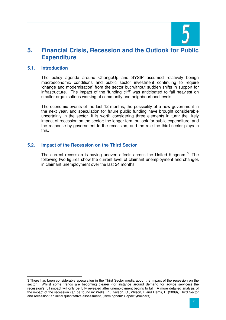

# **5. Financial Crisis, Recession and the Outlook for Public Expenditure**

#### **5.1. Introduction**

The policy agenda around ChangeUp and SYSIP assumed relatively benign macroeconomic conditions and public sector investment continuing to require 'change and modernisation' from the sector but without sudden shifts in support for infrastructure. The impact of the 'funding cliff' was anticipated to fall heaviest on smaller organisations working at community and neighbourhood levels.

The economic events of the last 12 months, the possibility of a new government in the next year, and speculation for future public funding have brought considerable uncertainly in the sector. It is worth considering three elements in turn: the likely impact of recession on the sector; the longer term outlook for public expenditure; and the response by government to the recession, and the role the third sector plays in this.

### **5.2. Impact of the Recession on the Third Sector**

The current recession is having uneven effects across the United Kingdom.<sup>3</sup> The following two figures show the current level of claimant unemployment and changes in claimant unemployment over the last 24 months.

 $\overline{a}$ 3 There has been considerable speculation in the Third Sector media about the impact of the recession on the sector. Whilst some trends are becoming clearer (for instance around demand for advice services) the recession's full impact will only be fully revealed after unemployment begins to fall. A more detailed analysis of the impact of the recession can be found in: Wells, P., Dayson, C., Wilson, I. and Hems, L. (2009), Third Sector and recession: an initial quantitative assessment, (Birmingham: Capacitybuilders).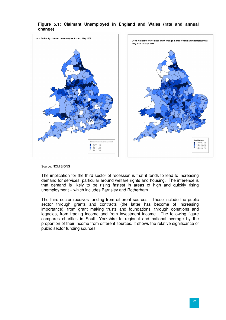

# **Figure 5.1: Claimant Unemployed in England and Wales (rate and annual change)**

Source: NOMIS/ONS

The implication for the third sector of recession is that it tends to lead to increasing demand for services, particular around welfare rights and housing. The inference is that demand is likely to be rising fastest in areas of high and quickly rising unemployment – which includes Barnsley and Rotherham.

The third sector receives funding from different sources. These include the public sector through grants and contracts (the latter has become of increasing importance), from grant making trusts and foundations, through donations and legacies, from trading income and from investment income. The following figure compares charities in South Yorkshire to regional and national average by the proportion of their income from different sources. It shows the relative significance of public sector funding sources.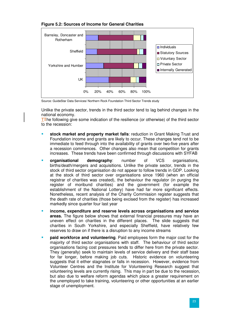

# **Figure 5.2: Sources of Income for General Charities**

Source: GuideStar Data Services/ Northern Rock Foundation Third Sector Trends study

Unlike the private sector, trends in the third sector tend to lag behind changes in the national economy.

T<sub>T</sub>he following give some indication of the resilience (or otherwise) of the third sector to the recession:

- **stock market and property market falls**: reduction in Grant Making Trust and Foundation income and grants are likely to occur. These changes tend not to be immediate to feed through into the availability of grants over two-five years after a recession commences. Other changes also mean that competition for grants increases. These trends have been confirmed through discussions with SYFAB
- **organisational demography**: number of VCS organisations, births/death/mergers and acquisitions. Unlike the private sector, trends in the stock of third sector organisation do not appear to follow trends in GDP. Looking at the stock of third sector over organisations since 1960 (when an official registrar of charities was created), the behaviour the regulator (in purging the register of moribund charities) and the government (for example the establishment of the National Lottery) have had far more significant effects. Nonetheless, recent analysis of the Charity Commission register suggests that the death rate of charities (those being excised from the register) has increased markedly since quarter four last year
- **income, expenditure and reserve levels across organisations and service areas.** The figure below shows that external financial pressures may have an uneven effect on charities in the different places. The slide suggests that charities in South Yorkshire, and especially Sheffield, have relatively few reserves to draw on if there is a disruption to any income streams
- **paid workforce and volunteering**. Paid employees form the major cost for the majority of third sector organisations with staff. The behaviour of third sector organisations facing cost pressures tends to differ here from the private sector. They (generally) seek to maintain levels of service delivery and their staff base for far longer, before making job cuts. Historic evidence on volunteering suggests that it either stagnates or falls in recession. However, evidence from Volunteer Centres and the Institute for Volunteering Research suggest that volunteering levels are currently rising. This may in part be due to the recession, but also due to welfare reform agendas which place a greater requirement on the unemployed to take training, volunteering or other opportunities at an earlier stage of unemployment.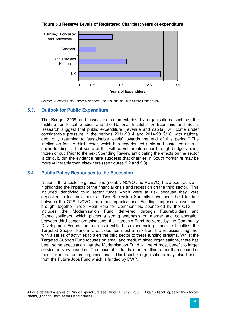

**Figure 5.3 Reserve Levels of Registered Charities: years of expenditure** 

Source: GuideStar Data Services/ Northern Rock Foundation Third Sector Trends study

# **5.3. Outlook for Public Expenditure**

The Budget 2009 and associated commentaries by organisations such as the Institute for Fiscal Studies and the National Institute for Economic and Social Research suggest that public expenditure (revenue and capital) will come under considerable pressure in the periods 2011-2014 and 2014-2017/18, with national debt only returning to 'sustainable levels' towards the end of this period.<sup>4</sup> The implication for the third sector, which has experienced rapid and sustained rises in public funding, is that some of this will be vulnerbale either through budgets being frozen or cut. Prior to the next Spending Review anticipating the effects on the sector is difficult, but the evidence here suggests that charities in South Yorkshire may be more vulnerable than elsewhere (see figures 3.2 and 3.3).

# **5.4. Public Policy Responses to the Recession**

National third sector organisations (notably NCVO and ACEVO) have been active in highlighting the impacts of the financial crisis and recession on the third sector. This included identifying third sector funds which were at risk because they were deposited in Icelandic banks. Two Recession Summits have been held to date between the OTS, NCVO and other organisations. Funding responses have been brought together under Real Help for Communities, sponsored by the OTS. It includes the Modernisation Fund delivered through Futurebuilders and Capacitybuilders, which places a strong emphasis on merger and collaboration between third sector organisations; the Hardship Fund delivered by the Community Development Foundation in areas identified as experiencing financial difficulties; the Targeted Support Fund in areas deemed most at risk from the recession; together with a series of activities to alert the third sector to these funding streams. Whilst the Targeted Support Fund focuses on small and medium sized organisations, there has been some speculation that the Modernisation Fund will be of most benefit to larger service delivery charities. The focus of all funds is on frontline rather than second or third tier infrastructure organisations. Third sector organisations may also benefit from the Future Jobs Fund which is funded by DWP.

 $\overline{a}$ 4 For a detailed analysis of Public Expenditure see Chote, R. et al (2009), Britain's fiscal squeeze: the choices ahead, (London: Institute for Fiscal Studies).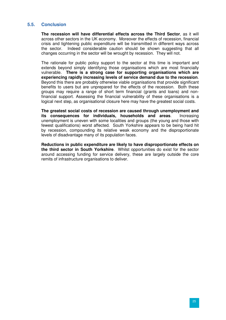# **5.5. Conclusion**

**The recession will have differential effects across the Third Sector**, as it will across other sectors in the UK economy. Moreover the effects of recession, financial crisis and tightening public expenditure will be transmitted in different ways across the sector. Indeed considerable caution should be shown suggesting that all changes occurring in the sector will be wrought by recession. They will not.

The rationale for public policy support to the sector at this time is important and extends beyond simply identifying those organisations which are most financially vulnerable. **There is a strong case for supporting organisations which are experiencing rapidly increasing levels of service demand due to the recession**. Beyond this there are probably otherwise viable organisations that provide significant benefits to users but are unprepared for the effects of the recession. Both these groups may require a range of short term financial (grants and loans) and nonfinancial support. Assessing the financial vulnerability of these organisations is a logical next step, as organisational closure here may have the greatest social costs.

**The greatest social costs of recession are caused through unemployment and its consequences for individuals, households and areas**. Increasing unemployment is uneven with some localities and groups (the young and those with fewest qualifications) worst affected. South Yorkshire appears to be being hard hit by recession, compounding its relative weak economy and the disproportionate levels of disadvantage many of its population faces.

**Reductions in public expenditure are likely to have disproportionate effects on the third sector in South Yorkshire**. Whilst opportunities do exist for the sector around accessing funding for service delivery, these are largely outside the core remits of infrastructure organisations to deliver.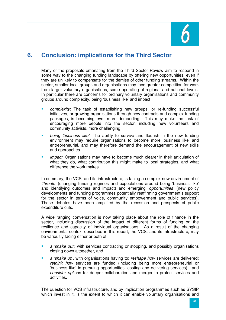

# **6. Conclusion: implications for the Third Sector**

Many of the proposals emanating from the Third Sector Review aim to respond in some way to the changing funding landscape by offering new opportunities, even if they are unlikely to compensate for the demise of other funding streams. Within the sector, smaller local groups and organisations may face greater competition for work from larger voluntary organisations, some operating at regional and national levels. In particular there are concerns for ordinary voluntary organisations and community groups around complexity, being 'business like' and impact:

- complexity: The task of establishing new groups, or re-funding successful initiatives, or growing organisations through new contracts and complex funding packages, is becoming ever more demanding. This may make the task of encouraging more people into the sector, including new volunteers and community activists, more challenging
- being 'business like': The ability to survive and flourish in the new funding environment may require organisations to become more 'business like' and entrepreneurial, and may therefore demand the encouragement of new skills and approaches
- impact: Organisations may have to become much clearer in their articulation of what they do, what contribution this might make to local strategies, and what difference the work makes.

In summary, the VCS, and its infrastructure, is facing a complex new environment of 'threats' (changing funding regimes and expectations around being 'business like' and identifying outcomes and impact) and emerging 'opportunities' (new policy developments and funding programmes potentially reaffirming government's support for the sector in terms of voice, community empowerment and public services). These debates have been amplified by the recession and prospects of public expenditure cuts.

A wide ranging conversation is now taking place about the role of finance in the sector, including discussion of the impact of different forms of funding on the resilience and capacity of individual organisations. As a result of the changing environmental context described in this report, the VCS, and its infrastructure, may be variously facing either or both of:

- a 'shake out', with services contracting or stopping, and possibly organisations closing down altogether, and
- a 'shake up', with organisations having to: reshape how services are delivered; rethink how services are funded (including being more entrepreneurial or 'business like' in pursuing opportunities, costing and delivering services); and consider options for deeper collaboration and merger to protect services and activities.

The question for VCS infrastructure, and by implication programmes such as SYSIP which invest in it, is the extent to which it can enable voluntary organisations and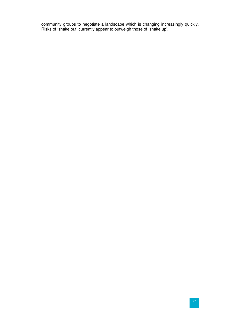community groups to negotiate a landscape which is changing increasingly quickly. Risks of 'shake out' currently appear to outweigh those of 'shake up'.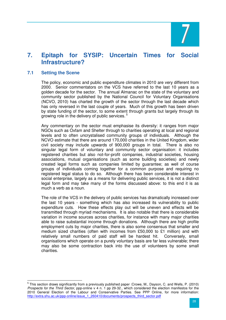

# **7. Epitaph for SYSIP: Uncertain Times for Social Infrastructure?**

#### **7.1 Setting the Scene**

The policy, economic and public expenditure climates in 2010 are very different from 2000. Senior commentators on the VCS have referred to the last 10 years as a golden decade for the sector. The annual Almanac on the state of the voluntary and community sector published by the National Council for Voluntary Organisations (NCVO, 2010) has charted the growth of the sector through the last decade which has only reversed in the last couple of years. Much of this growth has been driven by state funding of the sector, to some extent through grants but largely through its growing role in the delivery of public services.<sup>5</sup>

Any commentary on the sector must emphasise its diversity: it ranges from major NGOs such as Oxfam and Shelter through to charities operating at local and regional levels and to often uncrystalised community groups of individuals. Although the NCVO estimate that there are around 170,000 charities in the United Kingdom, wider civil society may include upwards of 900,000 groups in total. There is also no singular legal form of voluntary and community sector organisation: it includes registered charities but also not-for-profit companies, industrial societies, housing associations, mutual organisations (such as some building societies) and newly created legal forms such as companies limited by guarantee; as well of course groups of individuals coming together for a common purpose and requiring no registered legal status to do so. Although there has been considerable interest in social enterprise, largely as a means for delivering public services, it is not a distinct legal form and may take many of the forms discussed above: to this end it is as much a verb as a noun.

The role of the VCS in the delivery of public services has dramatically increased over the last 10 years - something which has also increased its vulnerability to public expenditure cuts. How these effects play out will be uneven and effects will be transmitted through myriad mechanisms. It is also notable that there is considerable variation in income sources across charities, for instance with many major charities able to raise substantial income through donations. Although there are high profile employment cuts by major charities, there is also some consensus that smaller and medium sized charities (often with incomes from £50,000 to £1 million) and with relatively small numbers of paid staff will be hardest hit. Conversely, small organisations which operate on a purely voluntary basis are far less vulnerable; there may also be some contraction back into the use of volunteers by some small charities.

<sup>&</sup>lt;u>.</u><br><sup>5</sup> This section draws significantly from a previously published paper :Crowe, M., Dayson, C. and Wells, P. (2010) Prospects for the Third Sector, ppp-online v 4 n. 1 pp 29-32., which considered the election manifestos for the 2010 General Election of the Labour and Conservative Parties. See PPP Online, for more information: http://extra.shu.ac.uk/ppp-online/issue\_1\_260410/documents/prospects\_third\_sector.pdf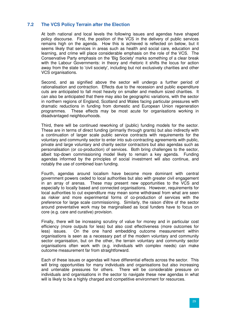# **7.2 The VCS Policy Terrain after the Election**

At both national and local levels the following issues and agendas have shaped policy discourse. First, the position of the VCS in the delivery of public services remains high on the agenda. How this is achieved is reflected on below, but it seems likely that services in areas such as health and social care, education and learning, and crime will place considerable emphasis on the role of the VCS. The Conservative Party emphasis on the 'Big Society' marks something of a clear break with the Labour Governments: in theory and rhetoric it shifts the locus for action away from the state to 'civil society', including but not exclusively charities and other VCS organisations.

Second, and as signified above the sector will undergo a further period of rationalisation and contraction. Effects due to the recession and public expenditure cuts are anticipated to fall most heavily on smaller and medium sized charities. It can also be anticipated that there may also be geographic variations, with the sector in northern regions of England, Scotland and Wales facing particular pressures with dramatic reductions in funding from domestic and European Union regeneration programmes. These effects may be most acute for organisations working in disadvantaged neighbourhoods.

Third, there will be continued reworking of (public) funding models for the sector. These are in terms of direct funding (primarily through grants) but also indirectly with a continuation of larger scale public service contracts with requirements for the voluntary and community sector to enter into sub-contracting agreements with public, private and large voluntary and charity sector contractors but also agendas such as personalisation (or co-production) of services. Both bring challenges to the sector, albeit top-down commissioning model likely to remain a key agenda. Funding agendas informed by the principles of social investment will also continue, and notably the use of combined loan funding.

Fourth, agendas around localism have become more dominant with central government powers ceded to local authorities but also with greater civil engagement in an array of arenas. These may present new opportunities to the VCS and especially to locally based and connected organisations. However, requirements for local authorities to cut expenditure may mean some withdrawal from what are seen as riskier and more experimental forms of co-production of services with the preference for large scale commissioning. Similarly, the raison d'être of the sector around preventative work may be marginalised as local funders have to focus on core (e.g. care and curative) provision.

Finally, there will be increasing scrutiny of value for money and in particular cost efficiency (more outputs for less) but also cost effectiveness (more outcomes for less) issues. On the one hand embedding outcome measurement within organisations is seen as a necessary part of the modern voluntary and community sector organisation, but on the other, the terrain voluntary and community sector organisations often work with (e.g. individuals with complex needs) can make outcome measurement far from straightforward.

Each of these issues or agendas will have differential effects across the sector. This will bring opportunities for many individuals and organisations but also increasing and untenable pressures for others. There will be considerable pressure on individuals and organisations in the sector to navigate these new agendas in what will is likely to be a highly charged and competitive environment for resources.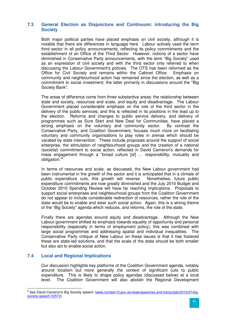# **7.3 General Election as Disjuncture and Continuum: introducing the Big Society**

Both major political parties have placed emphasis on civil society, although it is notable that there are differences in language here. Labour actively used the term third sector in all policy announcements, reflecting its policy commitments and the establishment of an Office of the Third Sector. However, notions of a sector have diminished in Conservative Party announcements, with the term "Big Society" used as an expression of civil society and with the third sector only referred to when discussing the Labour Government's policies. The OTS has been reformed as the Office for Civil Society and remains within the Cabinet Office. Emphasis on community and neighbourhood action has remained since the election, as well as a commitment to social investment; the latter primarily in discussions around the "Big Society Bank".

The areas of difference come from three substantive areas: the relationship between state and society, resources and scale, and equity and disadvantage. The Labour Government placed considerable emphasis on the role of the third sector in the delivery of the public services; and this is reflected in its positions in the lead up to the election. Reforms and changes to public service delivery, and delivery of programmes such as Sure Start and New Deal for Communities, have placed a strong emphasis on the voluntary and community sector. By contrast the Conservative Party, and Coalition Government, focuses much more on facilitating voluntary and community organisations to play roles in arenas which should be vacated by state intervention. These include proposals around the support of social enterprise, the stimulation of neighbourhood groups and the creation of a national (societal) commitment to social action, reflected in David Cameron's demands for mass engagement through a "broad culture [of] … responsibility, mutuality and obligation."<sup>6</sup>

In terms of resources and scale, as discussed, the New Labour government had been instrumental in the growth of the sector and it is anticipated that in a climate of public expenditure cuts, this growth will reverse. Nonetheless, future public expenditure commitments are now greatly diminished and the July 2010 Budget and October 2010 Spending Review will have far reaching implications. Proposals to support social enterprises and neighbourhood groups from the Coalition Government do not appear to include considerable redirection of resources, rather the role of the state would be to enable and steer such social action. Again, this is a strong theme of the "Big Society" agenda which reduces, and reforms, the role of the state.

Finally there are agendas around equity and disadvantage. Although the New Labour government shifted its emphasis towards equality of opportunity and personal responsibility (especially in terms of employment policy), this was combined with large social programmes and addressing spatial and individual inequalities. The Conservative Party critique of New Labour on these issues is that it has fostered these are state-led solutions, and that the scale of the state should be both smaller but also act to enable social action.

# **7.4 Local and Regional Implications**

Our discussion highlights key platforms of the Coalition Government agenda, notably around localism but more generally the context of significant cuts to public expenditure. This is likely to shape policy agendas (discussed below) at a local level. The Coalition Government will also abolish the Regional Development

<sup>&</sup>lt;u>.</u><br><sup>6</sup> See David Cameron's Big Society speech (www.number10.gov.uk/news/speeches-and-transcripts/2010/07/bigsociety-speech-53572)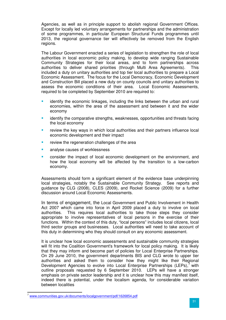Agencies, as well as in principle support to abolish regional Government Offices. Except for locally led voluntary arrangements for partnerships and the administration of some programmes, in particular European Structural Funds programmes until 2013, the regional governance tier will effectively be removed from the English regions.

The Labour Government enacted a series of legislation to strengthen the role of local authorities in local economic policy making, to develop wide ranging Sustainable Community Strategies for their local areas, and to form partnerships across authorities to deliver shared priorities (through Multi Area Agreements). This included a duty on unitary authorities and top tier local authorities to prepare a Local Economic Assessment. The focus for the Local Democracy, Economic Development and Construction Bill placed a new duty on county councils and unitary authorities to assess the economic conditions of their area. Local Economic Assessments, required to be completed by September 2010 are required to:

- identify the economic linkages, including the links between the urban and rural economies, within the area of the assessment and between it and the wider economy
- **EXECT** identify the comparative strengths, weaknesses, opportunities and threats facing the local economy
- review the key ways in which local authorities and their partners influence local economic development and their impact
- review the regeneration challenges of the area
- analyse causes of worklessness
- consider the impact of local economic development on the environment, and how the local economy will be affected by the transition to a low-carbon economy.

Assessments should form a significant element of the evidence base underpinning local strategies, notably the Sustainable Community Strategy. See reports and guidance by CLG (2008), CLES (2009), and Rocket Science (2009) for a further discussion around Local Economic Assessments.

In terms of engagement, the Local Government and Public Involvement in Health Act 2007 which came into force in April 2009 placed a duty to involve on local authorities. This requires local authorities to take those steps they consider appropriate to involve representatives of local persons in the exercise of their functions.Within the context of this duty, "local persons" includes local citizens, local third sector groups and businesses. Local authorities will need to take account of this duty in determining who they should consult on any economic assessment.

It is unclear how local economic assessments and sustainable community strategies will fit into the Coalition Government's framework for local policy making. It is likely that they may inform and become part of policies for Local Enterprise Partnerships. On 29 June 2010, the government departments BIS and CLG wrote to upper tier authorities and asked them to consider how they might like their Regional Development Agencies to evolve into Local Enterprise Partnerships (LEPs), $^7$  with outline proposals requested by 6 September 2010. LEPs will have a stronger emphasis on private sector leadership and it is unclear how this may manifest itself, indeed there is potential, under the localism agenda, for considerable variation between localities

 $\overline{a}$ 

<sup>7</sup> www.communities.gov.uk/documents/localgovernment/pdf/1626854.pdf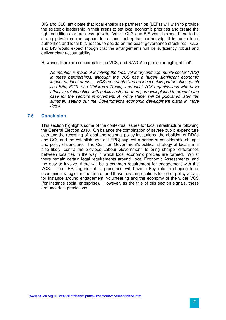BIS and CLG anticipate that local enterprise partnerships (LEPs) will wish to provide the strategic leadership in their areas to set local economic priorities and create the right conditions for business growth. Whilst CLG and BIS would expect there to be strong private sector support for a local enterprise partnership, it is up to local authorities and local businesses to decide on the exact governance structures. CLG and BIS would expect though that the arrangements will be sufficiently robust and deliver clear accountability.

However, there are concerns for the VCS, and NAVCA in particular highlight that<sup>8</sup>:

No mention is made of involving the local voluntary and community sector (VCS) in these partnerships, although the VCS has a hugely significant economic impact on local areas ... VCS representatives on local public partnerships (such as LSPs, PCTs and Children's Trusts), and local VCS organisations who have effective relationships with public sector partners, are well-placed to promote the case for the sector's involvement. A White Paper will be published later this summer, setting out the Government's economic development plans in more detail.

### **7.5 Conclusion**

 $\overline{a}$ 

This section highlights some of the contextual issues for local infrastructure following the General Election 2010. On balance the combination of severe public expenditure cuts and the recasting of local and regional policy institutions (the abolition of RDAs and GOs and the establishment of LEPS) suggest a period of considerable change and policy disjuncture. The Coalition Government's political strategy of localism is also likely, contra the previous Labour Government, to bring sharper differences between localities in the way in which local economic policies are formed. Whilst there remain certain legal requirements around Local Economic Assessments, and the duty to involve, there will be a common requirement for engagement with the VCS. The LEPs agenda it is presumed will have a key role in shaping local economic strategies in the future, and these have implications for other policy areas, for instance around engagement, volunteering and the economy of the wider VCS (for instance social enterprise). However, as the title of this section signals, these are uncertain predictions.

<sup>&</sup>lt;sup>8</sup> www.navca.org.uk/localvs/infobank/ilpunews/sectorinvolvementinleps.htm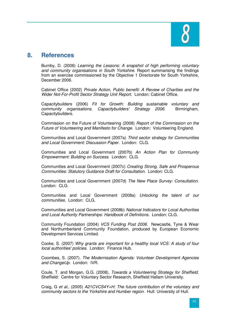

# **8. References**

Burnby, D. (2006) Learning the Lessons: A snapshot of high performing voluntary and community organisations in South Yorkshire. Report summarising the findings from an exercise commissioned by the Objective 1 Directorate for South Yorkshire, December 2006.

Cabinet Office (2002) Private Action, Public benefit: A Review of Charities and the Wider Not-For-Profit Sector Strategy Unit Report. London: Cabinet Office.

Capacitybuilders (2006) Fit for Growth: Building sustainable voluntary and community organisations. Capacitybuilders' Strategy 2006. Birmingham, Capacitybuilders.

Commission on the Future of Volunteering (2008) Report of the Commission on the Future of Volunteering and Manifesto for Change. London: Volunteering England.

Communities and Local Government (2007a) Third sector strategy for Communities and Local Government: Discussion Paper. London: CLG.

Communities and Local Government (2007b) An Action Plan for Community Empowerment: Building on Success. London: CLG.

Communities and Local Government (2007c) Creating Strong, Safe and Prosperous Communities: Statutory Guidance Draft for Consultation. London: CLG.

Communities and Local Government (2007d) The New Place Survey: Consultation. London: CLG.

Communities and Local Government (2008a) Unlocking the talent of our communities. London: CLG.

Communities and Local Government (2008b) National Indicators for Local Authorities and Local Authority Partnerships: Handbook of Definitions. London: CLG.

Community Foundation (2004) VCS Funding Post 2006. Newcastle, Tyne & Wear and Northumberland Community Foundation, produced by European Economic Development Services Limited.

Cooke, S. (2007) Why grants are important for a healthy local VCS: A study of four local authorities' policies. London: Finance Hub.

Coombes, S. (2007). The Modernisation Agenda: Volunteer Development Agencies and ChangeUp. London: IVR.

Coule, T. and Morgan, G.G. (2008), Towards a Volunteering Strategy for Sheffield. Sheffield: Centre for Voluntary Sector Research, Sheffield Hallam University.

Craig, G et al., (2005)  $A21CVCS4Y+H$ : The future contribution of the voluntary and community sectors to the Yorkshire and Humber region. Hull: University of Hull.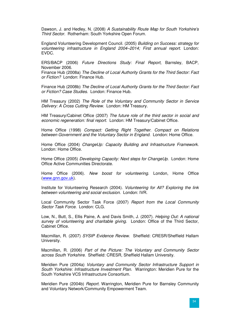Dawson, J. and Hedley, N. (2008) A Sustainability Route Map for South Yorkshire's Third Sector. Rotherham: South Yorkshire Open Forum.

England Volunteering Development Council. (2005) Building on Success: strategy for volunteering infrastructure in England 2004–2014; First annual report. London: EVDC.

ERS/BACP (2006) Future Directions Study: Final Report, Barnsley, BACP, November 2006.

Finance Hub (2008a) The Decline of Local Authority Grants for the Third Sector: Fact or Fiction? London: Finance Hub.

Finance Hub (2008b) The Decline of Local Authority Grants for the Third Sector: Fact or Fiction? Case Studies. London: Finance Hub.

HM Treasury (2002) The Role of the Voluntary and Community Sector in Service Delivery: A Cross Cutting Review. London: HM Treasury.

HM Treasury/Cabinet Office (2007) The future role of the third sector in social and economic regeneration: final report. London: HM Treasury/Cabinet Office.

Home Office (1998) Compact: Getting Right Together. Compact on Relations between Government and the Voluntary Sector in England. London: Home Office.

Home Office (2004) ChangeUp: Capacity Building and Infrastructure Framework. London: Home Office.

Home Office (2005) Developing Capacity: Next steps for ChangeUp. London: Home Office Active Communities Directorate.

Home Office (2006). New boost for volunteering. London, Home Office (www.gnn.gov.uk).

Institute for Volunteering Research (2004). Volunteering for All? Exploring the link between volunteering and social exclusion. London: IVR.

Local Community Sector Task Force (2007) Report from the Local Community Sector Task Force. London: CLG.

Low, N., Butt, S., Ellis Paine, A. and Davis Smith, J. (2007). Helping Out: A national survey of volunteering and charitable giving. London: Office of the Third Sector, Cabinet Office.

Macmillan, R. (2007) SYSIP Evidence Review. Sheffield: CRESR/Sheffield Hallam University.

Macmillan, R. (2006) Part of the Picture: The Voluntary and Community Sector across South Yorkshire. Sheffield: CRESR, Sheffield Hallam University.

Meridien Pure (2004a) Voluntary and Community Sector Infrastructure Support in South Yorkshire: Infrastructure Investment Plan. Warrington: Meridien Pure for the South Yorkshire VCS Infrastructure Consortium.

Meridien Pure (2004b) Report. Warrington, Meridien Pure for Barnsley Community and Voluntary Network/Community Empowerment Team.